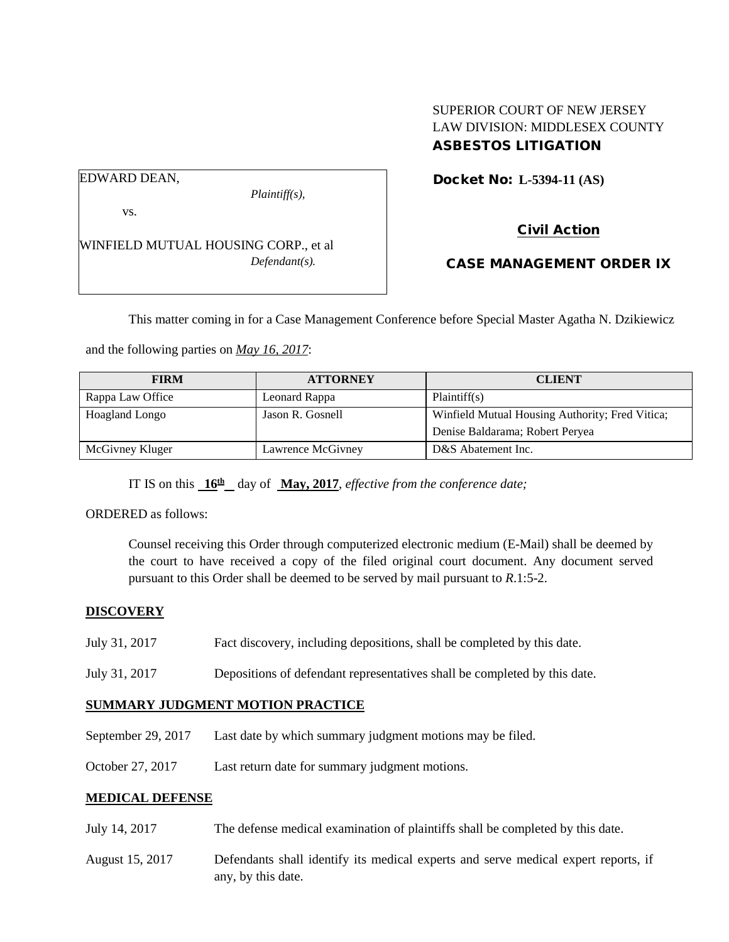# SUPERIOR COURT OF NEW JERSEY LAW DIVISION: MIDDLESEX COUNTY ASBESTOS LITIGATION

Docket No: **L-5394-11 (AS)** 

#### EDWARD DEAN,

vs.

*Plaintiff(s),*

Civil Action

WINFIELD MUTUAL HOUSING CORP., et al *Defendant(s).*

CASE MANAGEMENT ORDER IX

This matter coming in for a Case Management Conference before Special Master Agatha N. Dzikiewicz

and the following parties on *May 16, 2017*:

| <b>FIRM</b>      | <b>ATTORNEY</b>   | <b>CLIENT</b>                                   |
|------------------|-------------------|-------------------------------------------------|
| Rappa Law Office | Leonard Rappa     | Plaintiff(s)                                    |
| Hoagland Longo   | Jason R. Gosnell  | Winfield Mutual Housing Authority; Fred Vitica; |
|                  |                   | Denise Baldarama; Robert Peryea                 |
| McGivney Kluger  | Lawrence McGivney | D&S Abatement Inc.                              |

IT IS on this  $16^{\text{th}}$  day of May, 2017, *effective from the conference date*;

ORDERED as follows:

Counsel receiving this Order through computerized electronic medium (E-Mail) shall be deemed by the court to have received a copy of the filed original court document. Any document served pursuant to this Order shall be deemed to be served by mail pursuant to *R*.1:5-2.

## **DISCOVERY**

- July 31, 2017 Fact discovery, including depositions, shall be completed by this date.
- July 31, 2017 Depositions of defendant representatives shall be completed by this date.

## **SUMMARY JUDGMENT MOTION PRACTICE**

- September 29, 2017 Last date by which summary judgment motions may be filed.
- October 27, 2017 Last return date for summary judgment motions.

## **MEDICAL DEFENSE**

- July 14, 2017 The defense medical examination of plaintiffs shall be completed by this date.
- August 15, 2017 Defendants shall identify its medical experts and serve medical expert reports, if any, by this date.